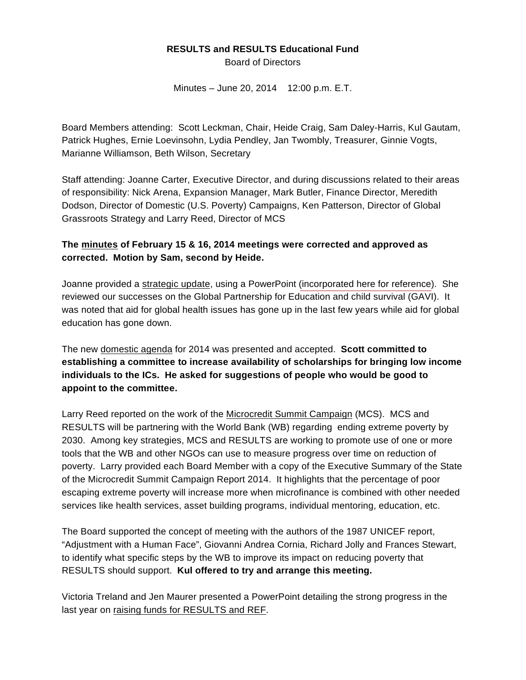## **RESULTS and RESULTS Educational Fund**

Board of Directors

Minutes – June 20, 2014 12:00 p.m. E.T.

Board Members attending: Scott Leckman, Chair, Heide Craig, Sam Daley-Harris, Kul Gautam, Patrick Hughes, Ernie Loevinsohn, Lydia Pendley, Jan Twombly, Treasurer, Ginnie Vogts, Marianne Williamson, Beth Wilson, Secretary

Staff attending: Joanne Carter, Executive Director, and during discussions related to their areas of responsibility: Nick Arena, Expansion Manager, Mark Butler, Finance Director, Meredith Dodson, Director of Domestic (U.S. Poverty) Campaigns, Ken Patterson, Director of Global Grassroots Strategy and Larry Reed, Director of MCS

## **The minutes of February 15 & 16, 2014 meetings were corrected and approved as corrected. Motion by Sam, second by Heide.**

Joanne provided a strategic update, using a PowerPoint [\(incorporated](www.results.org/uploads/files/June_2014_Executive_Directors_Report_to_the_Board.pdf) here for reference). She reviewed our successes on the Global Partnership for Education and child survival (GAVI). It was noted that aid for global health issues has gone up in the last few years while aid for global education has gone down.

The new domestic agenda for 2014 was presented and accepted. **Scott committed to establishing a committee to increase availability of scholarships for bringing low income individuals to the ICs. He asked for suggestions of people who would be good to appoint to the committee.** 

Larry Reed reported on the work of the Microcredit Summit Campaign (MCS). MCS and RESULTS will be partnering with the World Bank (WB) regarding ending extreme poverty by 2030. Among key strategies, MCS and RESULTS are working to promote use of one or more tools that the WB and other NGOs can use to measure progress over time on reduction of poverty. Larry provided each Board Member with a copy of the Executive Summary of the State of the Microcredit Summit Campaign Report 2014. It highlights that the percentage of poor escaping extreme poverty will increase more when microfinance is combined with other needed services like health services, asset building programs, individual mentoring, education, etc.

The Board supported the concept of meeting with the authors of the 1987 UNICEF report, "Adjustment with a Human Face", Giovanni Andrea Cornia, Richard Jolly and Frances Stewart, to identify what specific steps by the WB to improve its impact on reducing poverty that RESULTS should support. **Kul offered to try and arrange this meeting.**

Victoria Treland and Jen Maurer presented a PowerPoint detailing the strong progress in the last year on raising funds for RESULTS and REF.